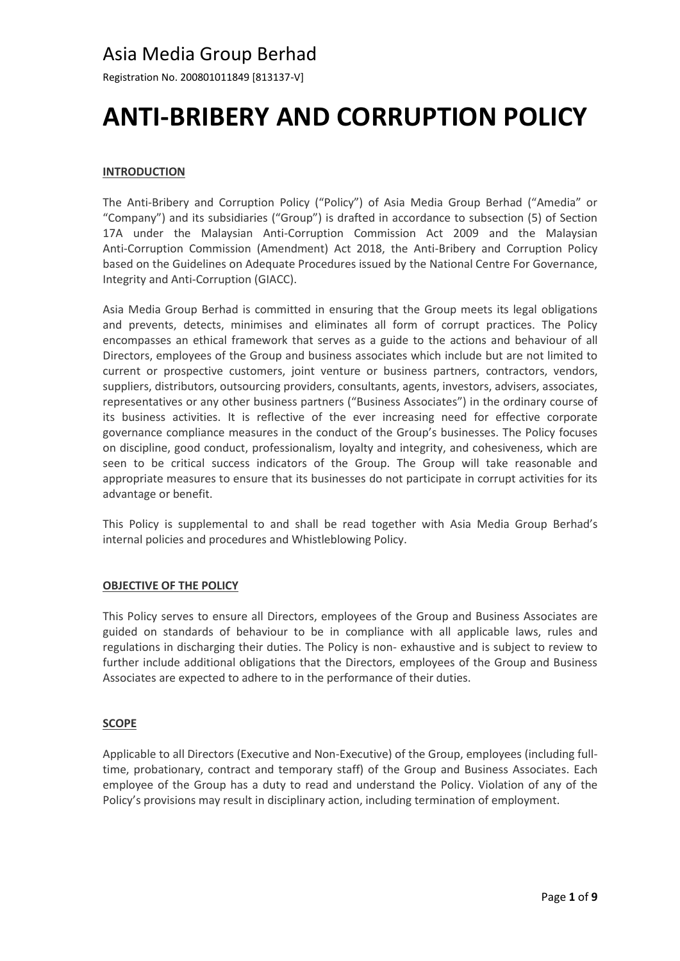Registration No. 200801011849 [813137-V]

# **ANTI-BRIBERY AND CORRUPTION POLICY**

### **INTRODUCTION**

The Anti-Bribery and Corruption Policy ("Policy") of Asia Media Group Berhad ("Amedia" or "Company") and its subsidiaries ("Group") is drafted in accordance to subsection (5) of Section 17A under the Malaysian Anti-Corruption Commission Act 2009 and the Malaysian Anti-Corruption Commission (Amendment) Act 2018, the Anti-Bribery and Corruption Policy based on the Guidelines on Adequate Procedures issued by the National Centre For Governance, Integrity and Anti-Corruption (GIACC).

Asia Media Group Berhad is committed in ensuring that the Group meets its legal obligations and prevents, detects, minimises and eliminates all form of corrupt practices. The Policy encompasses an ethical framework that serves as a guide to the actions and behaviour of all Directors, employees of the Group and business associates which include but are not limited to current or prospective customers, joint venture or business partners, contractors, vendors, suppliers, distributors, outsourcing providers, consultants, agents, investors, advisers, associates, representatives or any other business partners ("Business Associates") in the ordinary course of its business activities. It is reflective of the ever increasing need for effective corporate governance compliance measures in the conduct of the Group's businesses. The Policy focuses on discipline, good conduct, professionalism, loyalty and integrity, and cohesiveness, which are seen to be critical success indicators of the Group. The Group will take reasonable and appropriate measures to ensure that its businesses do not participate in corrupt activities for its advantage or benefit.

This Policy is supplemental to and shall be read together with Asia Media Group Berhad's internal policies and procedures and Whistleblowing Policy.

### **OBJECTIVE OF THE POLICY**

This Policy serves to ensure all Directors, employees of the Group and Business Associates are guided on standards of behaviour to be in compliance with all applicable laws, rules and regulations in discharging their duties. The Policy is non- exhaustive and is subject to review to further include additional obligations that the Directors, employees of the Group and Business Associates are expected to adhere to in the performance of their duties.

### **SCOPE**

Applicable to all Directors (Executive and Non-Executive) of the Group, employees (including fulltime, probationary, contract and temporary staff) of the Group and Business Associates. Each employee of the Group has a duty to read and understand the Policy. Violation of any of the Policy's provisions may result in disciplinary action, including termination of employment.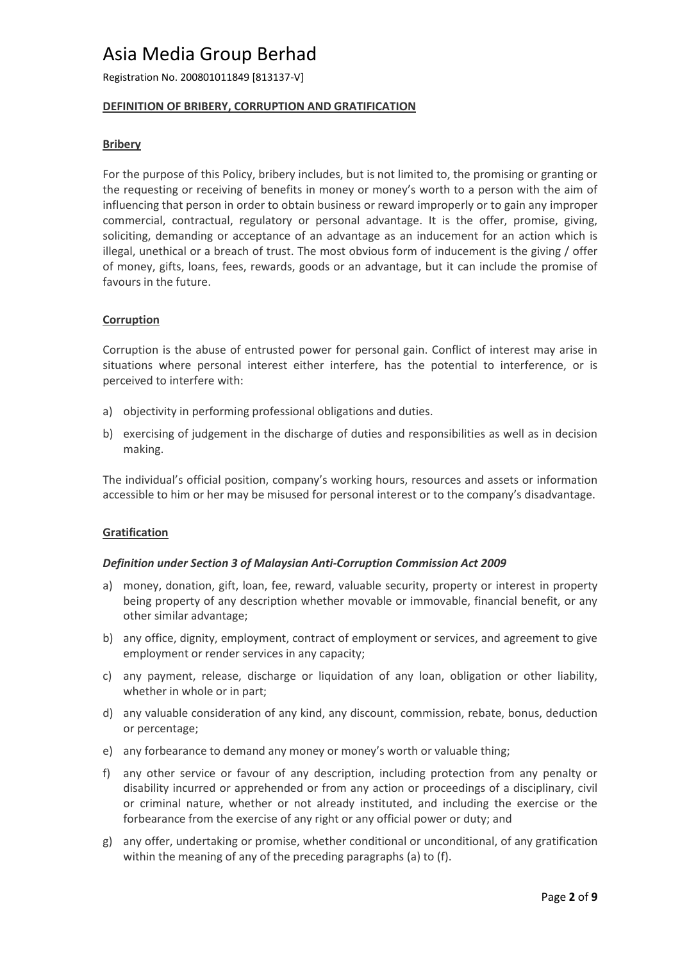Registration No. 200801011849 [813137-V]

### **DEFINITION OF BRIBERY, CORRUPTION AND GRATIFICATION**

#### **Bribery**

For the purpose of this Policy, bribery includes, but is not limited to, the promising or granting or the requesting or receiving of benefits in money or money's worth to a person with the aim of influencing that person in order to obtain business or reward improperly or to gain any improper commercial, contractual, regulatory or personal advantage. It is the offer, promise, giving, soliciting, demanding or acceptance of an advantage as an inducement for an action which is illegal, unethical or a breach of trust. The most obvious form of inducement is the giving / offer of money, gifts, loans, fees, rewards, goods or an advantage, but it can include the promise of favours in the future.

### **Corruption**

Corruption is the abuse of entrusted power for personal gain. Conflict of interest may arise in situations where personal interest either interfere, has the potential to interference, or is perceived to interfere with:

- a) objectivity in performing professional obligations and duties.
- b) exercising of judgement in the discharge of duties and responsibilities as well as in decision making.

The individual's official position, company's working hours, resources and assets or information accessible to him or her may be misused for personal interest or to the company's disadvantage.

### **Gratification**

#### *Definition under Section 3 of Malaysian Anti-Corruption Commission Act 2009*

- a) money, donation, gift, loan, fee, reward, valuable security, property or interest in property being property of any description whether movable or immovable, financial benefit, or any other similar advantage;
- b) any office, dignity, employment, contract of employment or services, and agreement to give employment or render services in any capacity;
- c) any payment, release, discharge or liquidation of any loan, obligation or other liability, whether in whole or in part;
- d) any valuable consideration of any kind, any discount, commission, rebate, bonus, deduction or percentage;
- e) any forbearance to demand any money or money's worth or valuable thing;
- f) any other service or favour of any description, including protection from any penalty or disability incurred or apprehended or from any action or proceedings of a disciplinary, civil or criminal nature, whether or not already instituted, and including the exercise or the forbearance from the exercise of any right or any official power or duty; and
- g) any offer, undertaking or promise, whether conditional or unconditional, of any gratification within the meaning of any of the preceding paragraphs (a) to (f).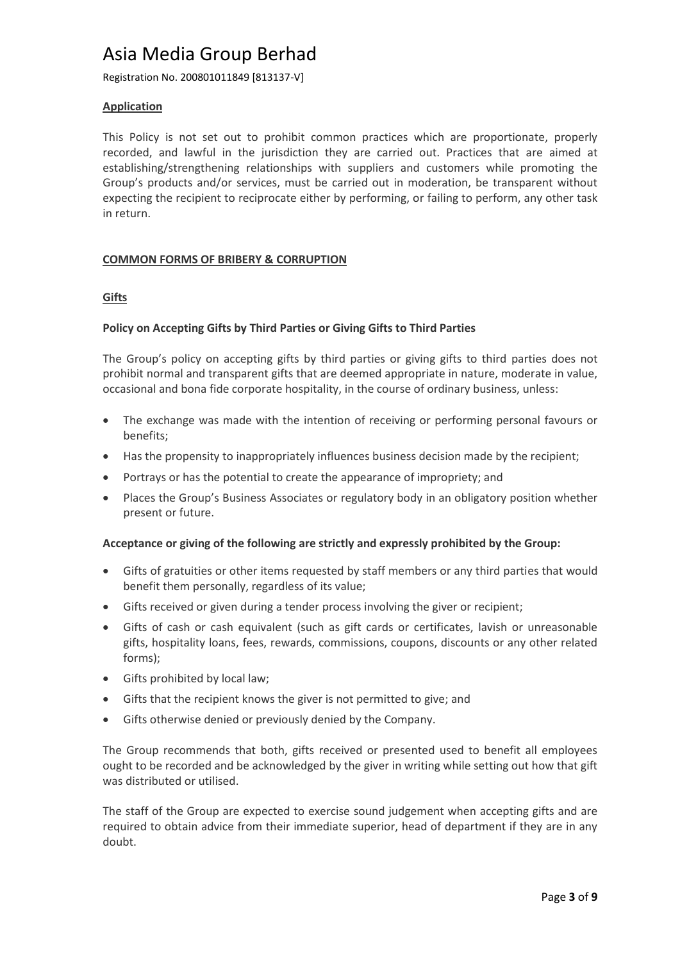Registration No. 200801011849 [813137-V]

### **Application**

This Policy is not set out to prohibit common practices which are proportionate, properly recorded, and lawful in the jurisdiction they are carried out. Practices that are aimed at establishing/strengthening relationships with suppliers and customers while promoting the Group's products and/or services, must be carried out in moderation, be transparent without expecting the recipient to reciprocate either by performing, or failing to perform, any other task in return.

### **COMMON FORMS OF BRIBERY & CORRUPTION**

### **Gifts**

### **Policy on Accepting Gifts by Third Parties or Giving Gifts to Third Parties**

The Group's policy on accepting gifts by third parties or giving gifts to third parties does not prohibit normal and transparent gifts that are deemed appropriate in nature, moderate in value, occasional and bona fide corporate hospitality, in the course of ordinary business, unless:

- The exchange was made with the intention of receiving or performing personal favours or benefits;
- Has the propensity to inappropriately influences business decision made by the recipient;
- Portrays or has the potential to create the appearance of impropriety; and
- Places the Group's Business Associates or regulatory body in an obligatory position whether present or future.

#### **Acceptance or giving of the following are strictly and expressly prohibited by the Group:**

- Gifts of gratuities or other items requested by staff members or any third parties that would benefit them personally, regardless of its value;
- Gifts received or given during a tender process involving the giver or recipient;
- Gifts of cash or cash equivalent (such as gift cards or certificates, lavish or unreasonable gifts, hospitality loans, fees, rewards, commissions, coupons, discounts or any other related forms);
- Gifts prohibited by local law;
- Gifts that the recipient knows the giver is not permitted to give; and
- Gifts otherwise denied or previously denied by the Company.

The Group recommends that both, gifts received or presented used to benefit all employees ought to be recorded and be acknowledged by the giver in writing while setting out how that gift was distributed or utilised.

The staff of the Group are expected to exercise sound judgement when accepting gifts and are required to obtain advice from their immediate superior, head of department if they are in any doubt.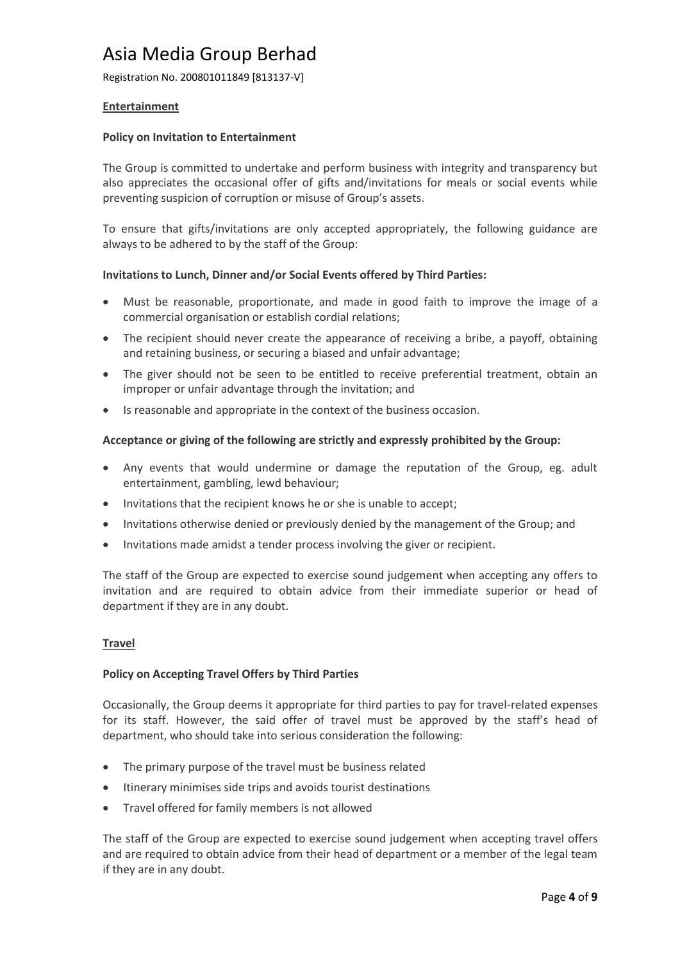Registration No. 200801011849 [813137-V]

### **Entertainment**

### **Policy on Invitation to Entertainment**

The Group is committed to undertake and perform business with integrity and transparency but also appreciates the occasional offer of gifts and/invitations for meals or social events while preventing suspicion of corruption or misuse of Group's assets.

To ensure that gifts/invitations are only accepted appropriately, the following guidance are always to be adhered to by the staff of the Group:

### **Invitations to Lunch, Dinner and/or Social Events offered by Third Parties:**

- Must be reasonable, proportionate, and made in good faith to improve the image of a commercial organisation or establish cordial relations;
- The recipient should never create the appearance of receiving a bribe, a payoff, obtaining and retaining business, or securing a biased and unfair advantage;
- The giver should not be seen to be entitled to receive preferential treatment, obtain an improper or unfair advantage through the invitation; and
- Is reasonable and appropriate in the context of the business occasion.

### **Acceptance or giving of the following are strictly and expressly prohibited by the Group:**

- Any events that would undermine or damage the reputation of the Group, eg. adult entertainment, gambling, lewd behaviour;
- Invitations that the recipient knows he or she is unable to accept;
- Invitations otherwise denied or previously denied by the management of the Group; and
- Invitations made amidst a tender process involving the giver or recipient.

The staff of the Group are expected to exercise sound judgement when accepting any offers to invitation and are required to obtain advice from their immediate superior or head of department if they are in any doubt.

#### **Travel**

### **Policy on Accepting Travel Offers by Third Parties**

Occasionally, the Group deems it appropriate for third parties to pay for travel-related expenses for its staff. However, the said offer of travel must be approved by the staff's head of department, who should take into serious consideration the following:

- The primary purpose of the travel must be business related
- $\bullet$  Itinerary minimises side trips and avoids tourist destinations
- Travel offered for family members is not allowed

The staff of the Group are expected to exercise sound judgement when accepting travel offers and are required to obtain advice from their head of department or a member of the legal team if they are in any doubt.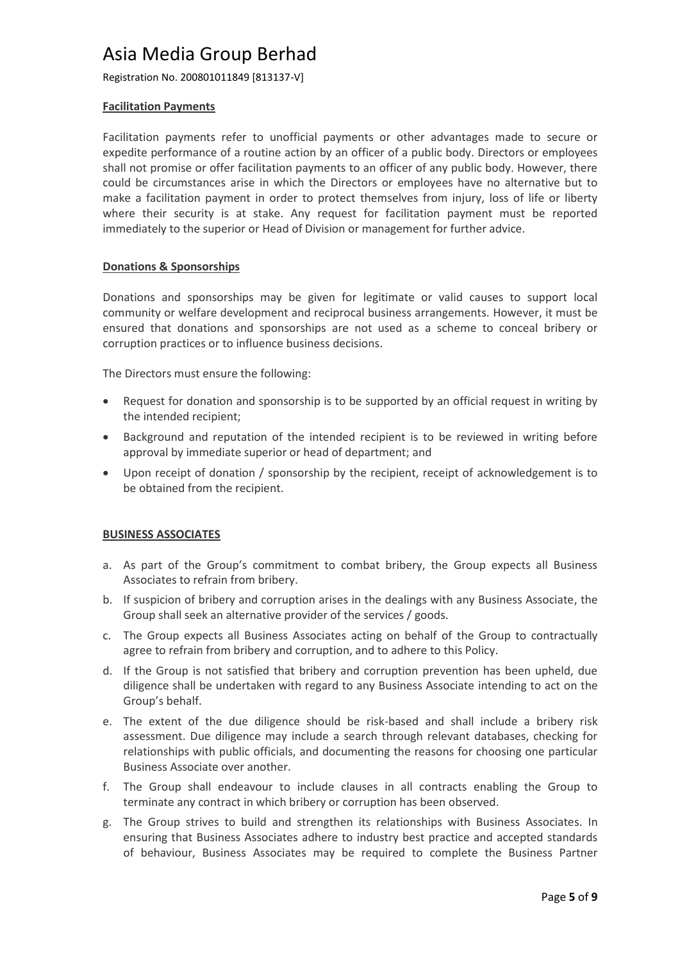Registration No. 200801011849 [813137-V]

### **Facilitation Payments**

Facilitation payments refer to unofficial payments or other advantages made to secure or expedite performance of a routine action by an officer of a public body. Directors or employees shall not promise or offer facilitation payments to an officer of any public body. However, there could be circumstances arise in which the Directors or employees have no alternative but to make a facilitation payment in order to protect themselves from injury, loss of life or liberty where their security is at stake. Any request for facilitation payment must be reported immediately to the superior or Head of Division or management for further advice.

### **Donations & Sponsorships**

Donations and sponsorships may be given for legitimate or valid causes to support local community or welfare development and reciprocal business arrangements. However, it must be ensured that donations and sponsorships are not used as a scheme to conceal bribery or corruption practices or to influence business decisions.

The Directors must ensure the following:

- Request for donation and sponsorship is to be supported by an official request in writing by the intended recipient;
- Background and reputation of the intended recipient is to be reviewed in writing before approval by immediate superior or head of department; and
- Upon receipt of donation / sponsorship by the recipient, receipt of acknowledgement is to be obtained from the recipient.

### **BUSINESS ASSOCIATES**

- a. As part of the Group's commitment to combat bribery, the Group expects all Business Associates to refrain from bribery.
- b. If suspicion of bribery and corruption arises in the dealings with any Business Associate, the Group shall seek an alternative provider of the services / goods.
- c. The Group expects all Business Associates acting on behalf of the Group to contractually agree to refrain from bribery and corruption, and to adhere to this Policy.
- d. If the Group is not satisfied that bribery and corruption prevention has been upheld, due diligence shall be undertaken with regard to any Business Associate intending to act on the Group's behalf.
- e. The extent of the due diligence should be risk-based and shall include a bribery risk assessment. Due diligence may include a search through relevant databases, checking for relationships with public officials, and documenting the reasons for choosing one particular Business Associate over another.
- f. The Group shall endeavour to include clauses in all contracts enabling the Group to terminate any contract in which bribery or corruption has been observed.
- g. The Group strives to build and strengthen its relationships with Business Associates. In ensuring that Business Associates adhere to industry best practice and accepted standards of behaviour, Business Associates may be required to complete the Business Partner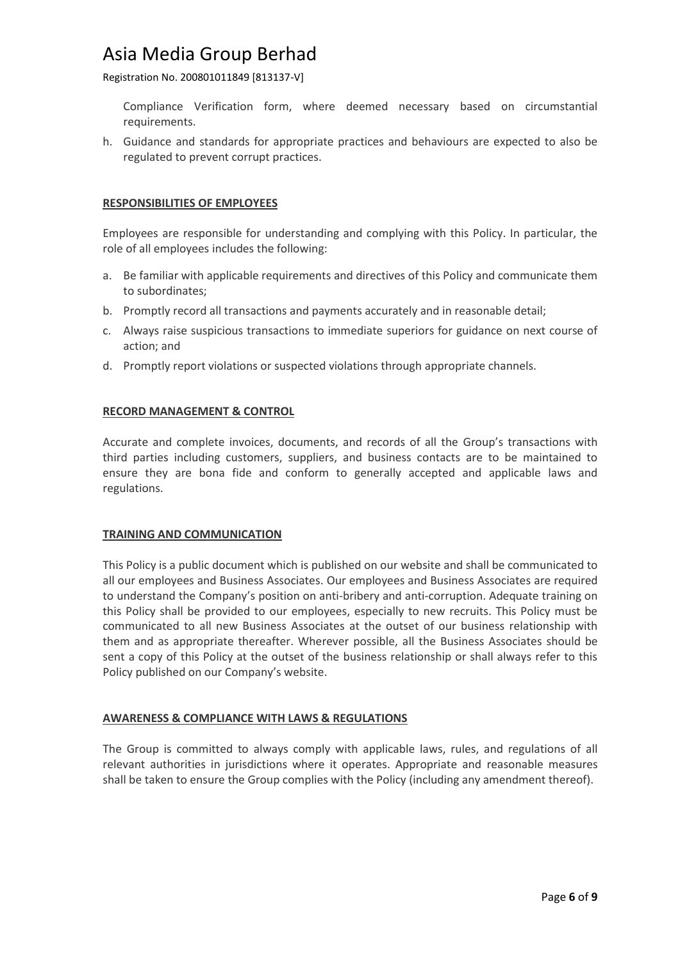Registration No. 200801011849 [813137-V]

Compliance Verification form, where deemed necessary based on circumstantial requirements.

h. Guidance and standards for appropriate practices and behaviours are expected to also be regulated to prevent corrupt practices.

### **RESPONSIBILITIES OF EMPLOYEES**

Employees are responsible for understanding and complying with this Policy. In particular, the role of all employees includes the following:

- a. Be familiar with applicable requirements and directives of this Policy and communicate them to subordinates;
- b. Promptly record all transactions and payments accurately and in reasonable detail;
- c. Always raise suspicious transactions to immediate superiors for guidance on next course of action; and
- d. Promptly report violations or suspected violations through appropriate channels.

### **RECORD MANAGEMENT & CONTROL**

Accurate and complete invoices, documents, and records of all the Group's transactions with third parties including customers, suppliers, and business contacts are to be maintained to ensure they are bona fide and conform to generally accepted and applicable laws and regulations.

### **TRAINING AND COMMUNICATION**

This Policy is a public document which is published on our website and shall be communicated to all our employees and Business Associates. Our employees and Business Associates are required to understand the Company's position on anti-bribery and anti-corruption. Adequate training on this Policy shall be provided to our employees, especially to new recruits. This Policy must be communicated to all new Business Associates at the outset of our business relationship with them and as appropriate thereafter. Wherever possible, all the Business Associates should be sent a copy of this Policy at the outset of the business relationship or shall always refer to this Policy published on our Company's website.

### **AWARENESS & COMPLIANCE WITH LAWS & REGULATIONS**

The Group is committed to always comply with applicable laws, rules, and regulations of all relevant authorities in jurisdictions where it operates. Appropriate and reasonable measures shall be taken to ensure the Group complies with the Policy (including any amendment thereof).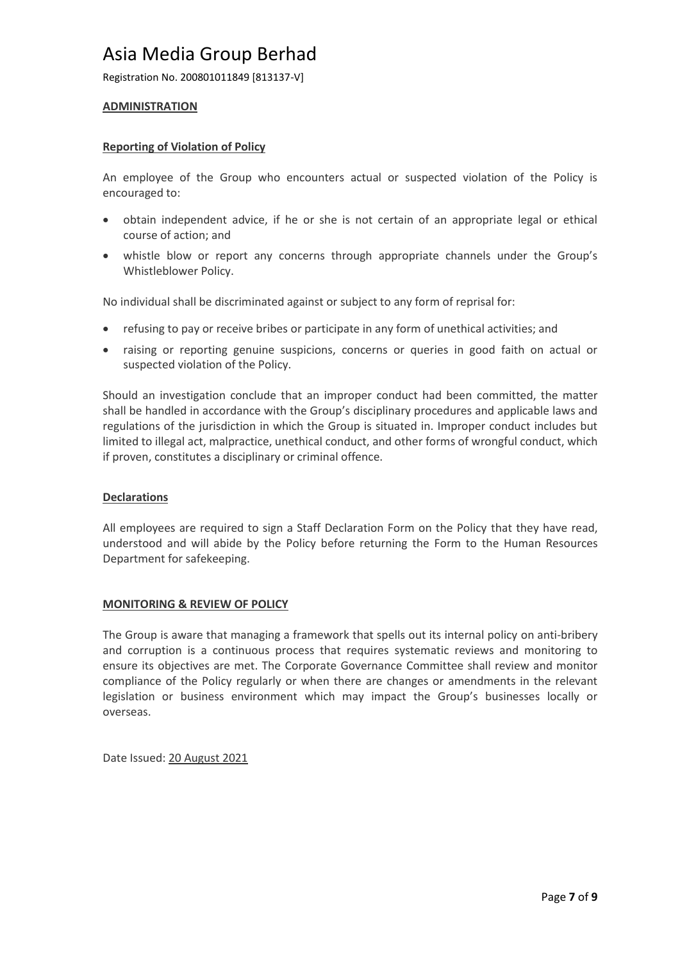Registration No. 200801011849 [813137-V]

### **ADMINISTRATION**

### **Reporting of Violation of Policy**

An employee of the Group who encounters actual or suspected violation of the Policy is encouraged to:

- obtain independent advice, if he or she is not certain of an appropriate legal or ethical course of action; and
- whistle blow or report any concerns through appropriate channels under the Group's Whistleblower Policy.

No individual shall be discriminated against or subject to any form of reprisal for:

- refusing to pay or receive bribes or participate in any form of unethical activities; and
- raising or reporting genuine suspicions, concerns or queries in good faith on actual or suspected violation of the Policy.

Should an investigation conclude that an improper conduct had been committed, the matter shall be handled in accordance with the Group's disciplinary procedures and applicable laws and regulations of the jurisdiction in which the Group is situated in. Improper conduct includes but limited to illegal act, malpractice, unethical conduct, and other forms of wrongful conduct, which if proven, constitutes a disciplinary or criminal offence.

### **Declarations**

All employees are required to sign a Staff Declaration Form on the Policy that they have read, understood and will abide by the Policy before returning the Form to the Human Resources Department for safekeeping.

#### **MONITORING & REVIEW OF POLICY**

The Group is aware that managing a framework that spells out its internal policy on anti-bribery and corruption is a continuous process that requires systematic reviews and monitoring to ensure its objectives are met. The Corporate Governance Committee shall review and monitor compliance of the Policy regularly or when there are changes or amendments in the relevant legislation or business environment which may impact the Group's businesses locally or overseas.

Date Issued: 20 August 2021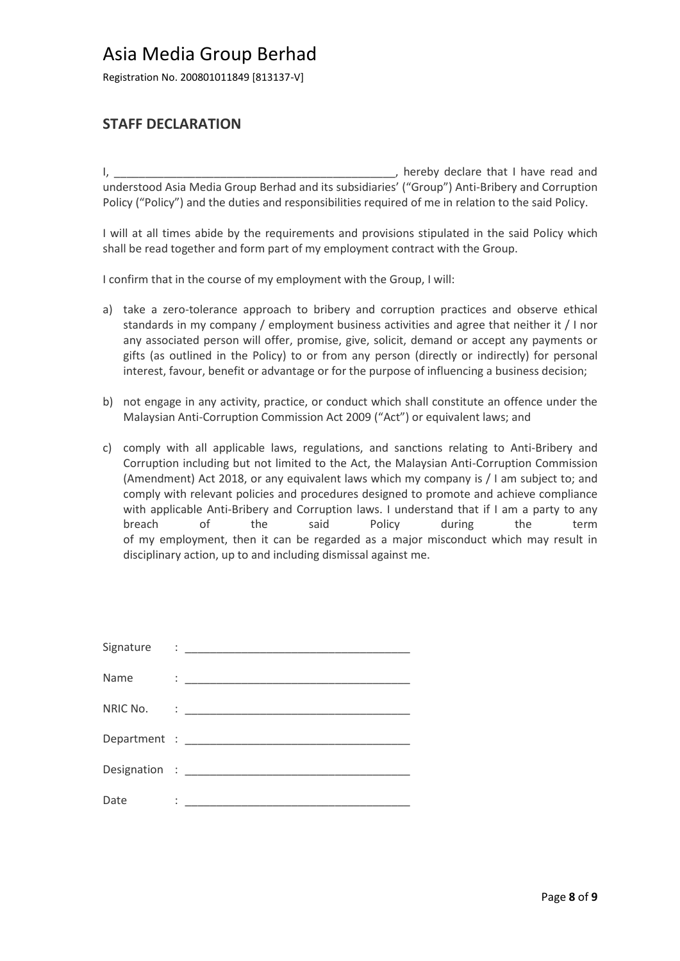Registration No. 200801011849 [813137-V]

### **STAFF DECLARATION**

I, \_\_\_\_\_\_\_\_\_\_\_\_\_\_\_\_\_\_\_\_\_\_\_\_\_\_\_\_\_\_\_\_\_\_\_\_\_\_\_\_\_\_\_\_\_, hereby declare that I have read and understood Asia Media Group Berhad and its subsidiaries' ("Group") Anti-Bribery and Corruption Policy ("Policy") and the duties and responsibilities required of me in relation to the said Policy.

I will at all times abide by the requirements and provisions stipulated in the said Policy which shall be read together and form part of my employment contract with the Group.

I confirm that in the course of my employment with the Group, I will:

- a) take a zero-tolerance approach to bribery and corruption practices and observe ethical standards in my company / employment business activities and agree that neither it / I nor any associated person will offer, promise, give, solicit, demand or accept any payments or gifts (as outlined in the Policy) to or from any person (directly or indirectly) for personal interest, favour, benefit or advantage or for the purpose of influencing a business decision;
- b) not engage in any activity, practice, or conduct which shall constitute an offence under the Malaysian Anti-Corruption Commission Act 2009 ("Act") or equivalent laws; and
- c) comply with all applicable laws, regulations, and sanctions relating to Anti-Bribery and Corruption including but not limited to the Act, the Malaysian Anti-Corruption Commission (Amendment) Act 2018, or any equivalent laws which my company is / I am subject to; and comply with relevant policies and procedures designed to promote and achieve compliance with applicable Anti-Bribery and Corruption laws. I understand that if I am a party to any breach of the said Policy during the term of my employment, then it can be regarded as a major misconduct which may result in disciplinary action, up to and including dismissal against me.

| Name | $\ddot{\cdot}$ . The contraction of the contract of the contract of the contract of the contract of the contract of the contract of the contract of the contract of the contract of the contract of the contract of the contract of |
|------|-------------------------------------------------------------------------------------------------------------------------------------------------------------------------------------------------------------------------------------|
|      |                                                                                                                                                                                                                                     |
|      |                                                                                                                                                                                                                                     |
|      |                                                                                                                                                                                                                                     |
| Date |                                                                                                                                                                                                                                     |